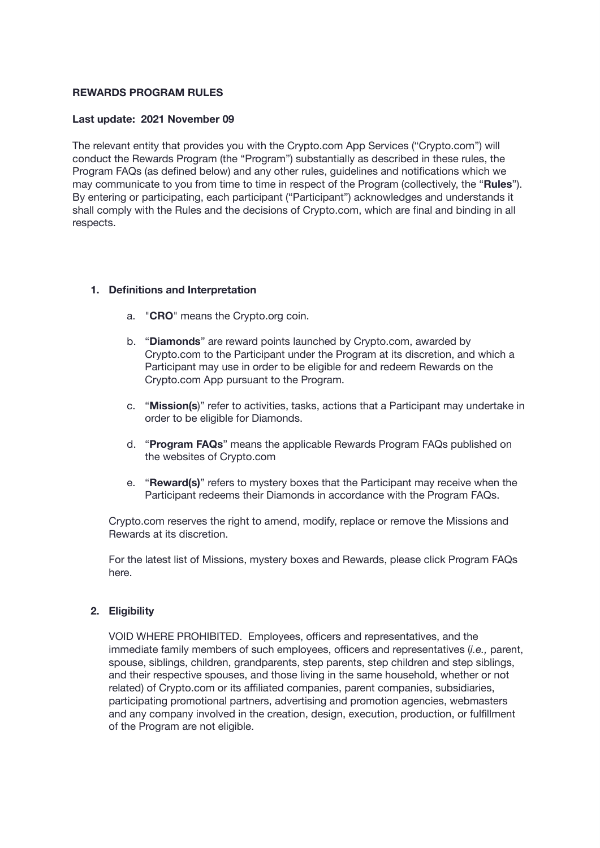## **REWARDS PROGRAM RULES**

## **Last update: 2021 November 09**

The relevant entity that provides you with the Crypto.com App Services ("Crypto.com") will conduct the Rewards Program (the "Program") substantially as described in these rules, the Program FAQs (as defined below) and any other rules, guidelines and notifications which we may communicate to you from time to time in respect of the Program (collectively, the "**Rules**"). By entering or participating, each participant ("Participant") acknowledges and understands it shall comply with the Rules and the decisions of Crypto.com, which are final and binding in all respects.

## **1. Definitions and Interpretation**

- a. "**CRO**" means the Crypto.org coin.
- b. "**Diamonds**" are reward points launched by Crypto.com, awarded by Crypto.com to the Participant under the Program at its discretion, and which a Participant may use in order to be eligible for and redeem Rewards on the Crypto.com App pursuant to the Program.
- c. "**Mission(s**)" refer to activities, tasks, actions that a Participant may undertake in order to be eligible for Diamonds.
- d. "**Program FAQs**" means the applicable Rewards Program FAQs published on the websites of Crypto.com
- e. "**Reward(s)**" refers to mystery boxes that the Participant may receive when the Participant redeems their Diamonds in accordance with the Program FAQs.

Crypto.com reserves the right to amend, modify, replace or remove the Missions and Rewards at its discretion.

For the latest list of Missions, mystery boxes and Rewards, please click Program FAQs here.

## **2. Eligibility**

VOID WHERE PROHIBITED. Employees, officers and representatives, and the immediate family members of such employees, officers and representatives (*i.e.,* parent, spouse, siblings, children, grandparents, step parents, step children and step siblings, and their respective spouses, and those living in the same household, whether or not related) of Crypto.com or its affiliated companies, parent companies, subsidiaries, participating promotional partners, advertising and promotion agencies, webmasters and any company involved in the creation, design, execution, production, or fulfillment of the Program are not eligible.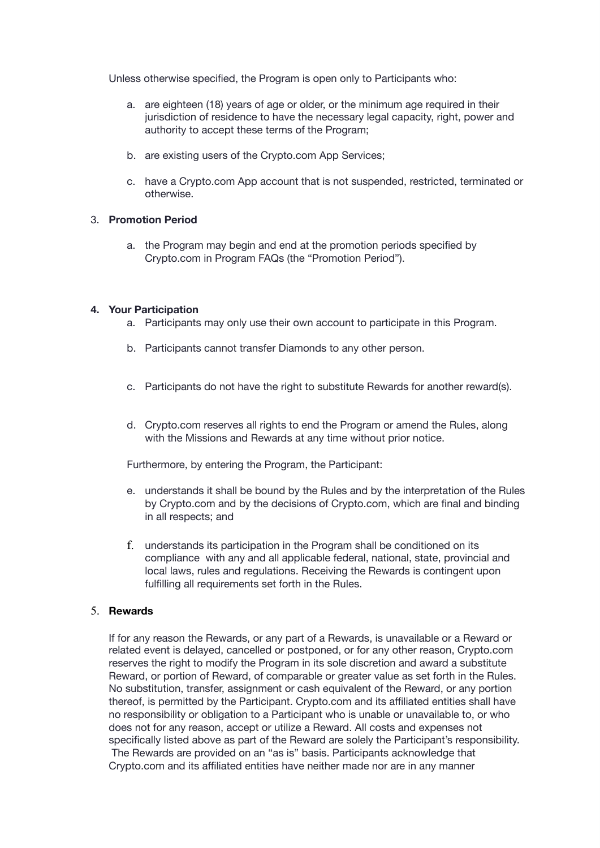Unless otherwise specified, the Program is open only to Participants who:

- a. are eighteen (18) years of age or older, or the minimum age required in their jurisdiction of residence to have the necessary legal capacity, right, power and authority to accept these terms of the Program;
- b. are existing users of the Crypto.com App Services;
- c. have a Crypto.com App account that is not suspended, restricted, terminated or otherwise.

# 3. **Promotion Period**

a. the Program may begin and end at the promotion periods specified by Crypto.com in Program FAQs (the "Promotion Period").

#### **4. Your Participation**

- a. Participants may only use their own account to participate in this Program.
- b. Participants cannot transfer Diamonds to any other person.
- c. Participants do not have the right to substitute Rewards for another reward(s).
- d. Crypto.com reserves all rights to end the Program or amend the Rules, along with the Missions and Rewards at any time without prior notice.

Furthermore, by entering the Program, the Participant:

- e. understands it shall be bound by the Rules and by the interpretation of the Rules by Crypto.com and by the decisions of Crypto.com, which are final and binding in all respects; and
- f. understands its participation in the Program shall be conditioned on its compliance with any and all applicable federal, national, state, provincial and local laws, rules and regulations. Receiving the Rewards is contingent upon fulfilling all requirements set forth in the Rules.

## 5. **Rewards**

If for any reason the Rewards, or any part of a Rewards, is unavailable or a Reward or related event is delayed, cancelled or postponed, or for any other reason, Crypto.com reserves the right to modify the Program in its sole discretion and award a substitute Reward, or portion of Reward, of comparable or greater value as set forth in the Rules. No substitution, transfer, assignment or cash equivalent of the Reward, or any portion thereof, is permitted by the Participant. Crypto.com and its affiliated entities shall have no responsibility or obligation to a Participant who is unable or unavailable to, or who does not for any reason, accept or utilize a Reward. All costs and expenses not specifically listed above as part of the Reward are solely the Participant's responsibility. The Rewards are provided on an "as is" basis. Participants acknowledge that Crypto.com and its affiliated entities have neither made nor are in any manner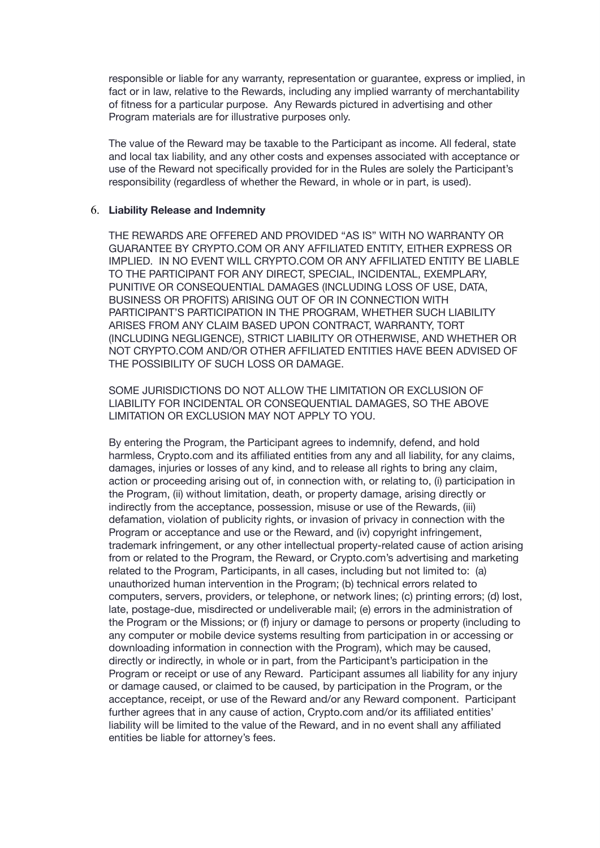responsible or liable for any warranty, representation or guarantee, express or implied, in fact or in law, relative to the Rewards, including any implied warranty of merchantability of fitness for a particular purpose. Any Rewards pictured in advertising and other Program materials are for illustrative purposes only.

The value of the Reward may be taxable to the Participant as income. All federal, state and local tax liability, and any other costs and expenses associated with acceptance or use of the Reward not specifically provided for in the Rules are solely the Participant's responsibility (regardless of whether the Reward, in whole or in part, is used).

## 6. **Liability Release and Indemnity**

THE REWARDS ARE OFFERED AND PROVIDED "AS IS" WITH NO WARRANTY OR GUARANTEE BY CRYPTO.COM OR ANY AFFILIATED ENTITY, EITHER EXPRESS OR IMPLIED. IN NO EVENT WILL CRYPTO.COM OR ANY AFFILIATED ENTITY BE LIABLE TO THE PARTICIPANT FOR ANY DIRECT, SPECIAL, INCIDENTAL, EXEMPLARY, PUNITIVE OR CONSEQUENTIAL DAMAGES (INCLUDING LOSS OF USE, DATA, BUSINESS OR PROFITS) ARISING OUT OF OR IN CONNECTION WITH PARTICIPANT'S PARTICIPATION IN THE PROGRAM, WHETHER SUCH LIABILITY ARISES FROM ANY CLAIM BASED UPON CONTRACT, WARRANTY, TORT (INCLUDING NEGLIGENCE), STRICT LIABILITY OR OTHERWISE, AND WHETHER OR NOT CRYPTO.COM AND/OR OTHER AFFILIATED ENTITIES HAVE BEEN ADVISED OF THE POSSIBILITY OF SUCH LOSS OR DAMAGE.

SOME JURISDICTIONS DO NOT ALLOW THE LIMITATION OR EXCLUSION OF LIABILITY FOR INCIDENTAL OR CONSEQUENTIAL DAMAGES, SO THE ABOVE LIMITATION OR EXCLUSION MAY NOT APPLY TO YOU.

By entering the Program, the Participant agrees to indemnify, defend, and hold harmless, Crypto.com and its affiliated entities from any and all liability, for any claims, damages, injuries or losses of any kind, and to release all rights to bring any claim, action or proceeding arising out of, in connection with, or relating to, (i) participation in the Program, (ii) without limitation, death, or property damage, arising directly or indirectly from the acceptance, possession, misuse or use of the Rewards, (iii) defamation, violation of publicity rights, or invasion of privacy in connection with the Program or acceptance and use or the Reward, and (iv) copyright infringement, trademark infringement, or any other intellectual property-related cause of action arising from or related to the Program, the Reward, or Crypto.com's advertising and marketing related to the Program, Participants, in all cases, including but not limited to: (a) unauthorized human intervention in the Program; (b) technical errors related to computers, servers, providers, or telephone, or network lines; (c) printing errors; (d) lost, late, postage-due, misdirected or undeliverable mail; (e) errors in the administration of the Program or the Missions; or (f) injury or damage to persons or property (including to any computer or mobile device systems resulting from participation in or accessing or downloading information in connection with the Program), which may be caused, directly or indirectly, in whole or in part, from the Participant's participation in the Program or receipt or use of any Reward. Participant assumes all liability for any injury or damage caused, or claimed to be caused, by participation in the Program, or the acceptance, receipt, or use of the Reward and/or any Reward component. Participant further agrees that in any cause of action, Crypto.com and/or its affiliated entities' liability will be limited to the value of the Reward, and in no event shall any affiliated entities be liable for attorney's fees.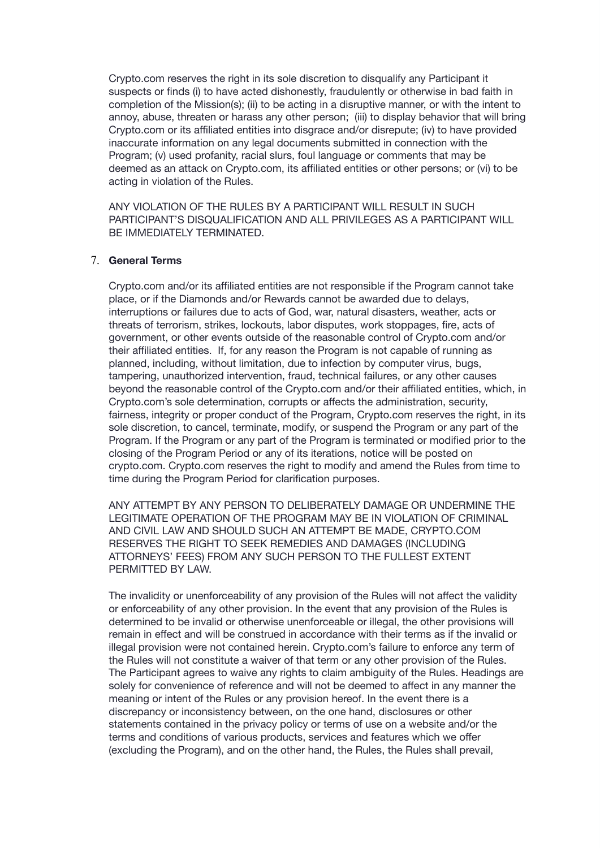Crypto.com reserves the right in its sole discretion to disqualify any Participant it suspects or finds (i) to have acted dishonestly, fraudulently or otherwise in bad faith in completion of the Mission(s); (ii) to be acting in a disruptive manner, or with the intent to annoy, abuse, threaten or harass any other person; (iii) to display behavior that will bring Crypto.com or its affiliated entities into disgrace and/or disrepute; (iv) to have provided inaccurate information on any legal documents submitted in connection with the Program; (v) used profanity, racial slurs, foul language or comments that may be deemed as an attack on Crypto.com, its affiliated entities or other persons; or (vi) to be acting in violation of the Rules.

ANY VIOLATION OF THE RULES BY A PARTICIPANT WILL RESULT IN SUCH PARTICIPANT'S DISQUALIFICATION AND ALL PRIVILEGES AS A PARTICIPANT WILL BE IMMEDIATELY TERMINATED.

#### 7. **General Terms**

Crypto.com and/or its affiliated entities are not responsible if the Program cannot take place, or if the Diamonds and/or Rewards cannot be awarded due to delays, interruptions or failures due to acts of God, war, natural disasters, weather, acts or threats of terrorism, strikes, lockouts, labor disputes, work stoppages, fire, acts of government, or other events outside of the reasonable control of Crypto.com and/or their affiliated entities. If, for any reason the Program is not capable of running as planned, including, without limitation, due to infection by computer virus, bugs, tampering, unauthorized intervention, fraud, technical failures, or any other causes beyond the reasonable control of the Crypto.com and/or their affiliated entities, which, in Crypto.com's sole determination, corrupts or affects the administration, security, fairness, integrity or proper conduct of the Program, Crypto.com reserves the right, in its sole discretion, to cancel, terminate, modify, or suspend the Program or any part of the Program. If the Program or any part of the Program is terminated or modified prior to the closing of the Program Period or any of its iterations, notice will be posted on crypto.com. Crypto.com reserves the right to modify and amend the Rules from time to time during the Program Period for clarification purposes.

ANY ATTEMPT BY ANY PERSON TO DELIBERATELY DAMAGE OR UNDERMINE THE LEGITIMATE OPERATION OF THE PROGRAM MAY BE IN VIOLATION OF CRIMINAL AND CIVIL LAW AND SHOULD SUCH AN ATTEMPT BE MADE, CRYPTO.COM RESERVES THE RIGHT TO SEEK REMEDIES AND DAMAGES (INCLUDING ATTORNEYS' FEES) FROM ANY SUCH PERSON TO THE FULLEST EXTENT PERMITTED BY LAW.

The invalidity or unenforceability of any provision of the Rules will not affect the validity or enforceability of any other provision. In the event that any provision of the Rules is determined to be invalid or otherwise unenforceable or illegal, the other provisions will remain in effect and will be construed in accordance with their terms as if the invalid or illegal provision were not contained herein. Crypto.com's failure to enforce any term of the Rules will not constitute a waiver of that term or any other provision of the Rules. The Participant agrees to waive any rights to claim ambiguity of the Rules. Headings are solely for convenience of reference and will not be deemed to affect in any manner the meaning or intent of the Rules or any provision hereof. In the event there is a discrepancy or inconsistency between, on the one hand, disclosures or other statements contained in the privacy policy or terms of use on a website and/or the terms and conditions of various products, services and features which we offer (excluding the Program), and on the other hand, the Rules, the Rules shall prevail,